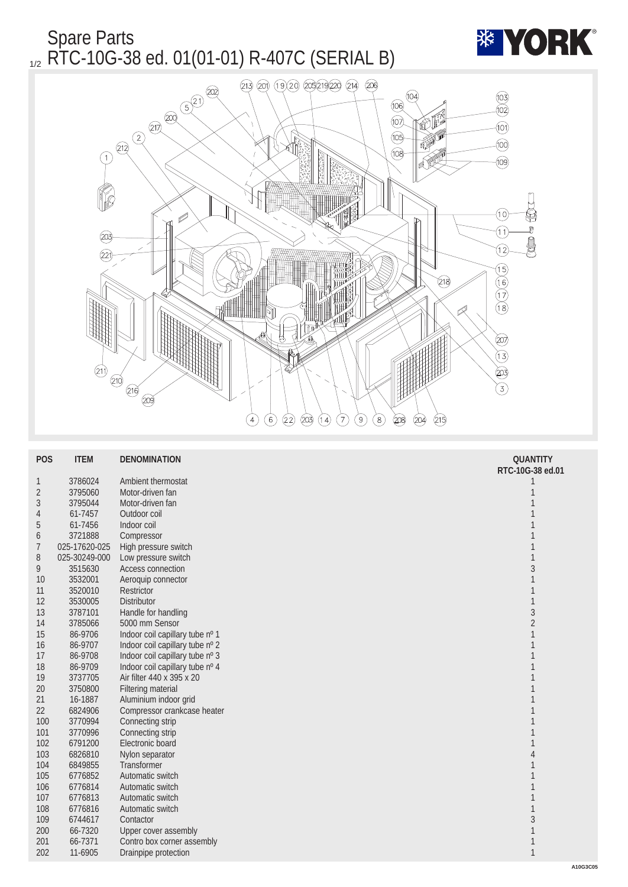Spare Parts  $_{1/2}$  RTC-10G-38 ed. 01(01-01) R-407C (SERIAL B)



| <b>POS</b>      | <b>ITEM</b>   | <b>DENOMINATION</b>             | <b>QUANTITY</b>  |
|-----------------|---------------|---------------------------------|------------------|
|                 |               |                                 | RTC-10G-38 ed.01 |
| $\mathbf{1}$    | 3786024       | Ambient thermostat              |                  |
| $\sqrt{2}$      | 3795060       | Motor-driven fan                | 1                |
| 3               | 3795044       | Motor-driven fan                | 1                |
| 4               | 61-7457       | Outdoor coil                    |                  |
| $\sqrt{5}$      | 61-7456       | Indoor coil                     |                  |
| $6\phantom{.}6$ | 3721888       | Compressor                      |                  |
| 7               | 025-17620-025 | High pressure switch            | $\mathbf{1}$     |
| 8               | 025-30249-000 | Low pressure switch             | $\mathbf{1}$     |
| 9               | 3515630       | Access connection               | $\sqrt{3}$       |
| 10              | 3532001       | Aeroquip connector              | 1                |
| 11              | 3520010       | Restrictor                      | 1                |
| 12              | 3530005       | Distributor                     | $\mathbf{1}$     |
| 13              | 3787101       | Handle for handling             | $\sqrt{3}$       |
| 14              | 3785066       | 5000 mm Sensor                  | $\boldsymbol{2}$ |
| 15              | 86-9706       | Indoor coil capillary tube nº 1 | 1                |
| 16              | 86-9707       | Indoor coil capillary tube nº 2 | 1                |
| 17              | 86-9708       | Indoor coil capillary tube nº 3 | 1                |
| 18              | 86-9709       | Indoor coil capillary tube nº 4 |                  |
| 19              | 3737705       | Air filter 440 x 395 x 20       | 1                |
| $20\,$          | 3750800       | <b>Filtering material</b>       | 1                |
| 21              | 16-1887       | Aluminium indoor grid           |                  |
| 22              | 6824906       | Compressor crankcase heater     | 1                |
| 100             | 3770994       | Connecting strip                | 1                |
| 101             | 3770996       | Connecting strip                |                  |
| 102             | 6791200       | Electronic board                |                  |
| 103             | 6826810       | Nylon separator                 | 4                |
| 104             | 6849855       | <b>Transformer</b>              |                  |
| 105             | 6776852       | Automatic switch                |                  |
| 106             | 6776814       | Automatic switch                |                  |
| 107             | 6776813       | Automatic switch                |                  |
| 108             | 6776816       | Automatic switch                | 1                |
| 109             | 6744617       | Contactor                       | $\overline{3}$   |
| 200             | 66-7320       | <b>Upper cover assembly</b>     | 1                |
| 201             | 66-7371       | Contro box corner assembly      | 1                |
| 202             | 11-6905       | Drainpipe protection            | $\mathbf{1}$     |
|                 |               |                                 |                  |

**\*\* YORK**